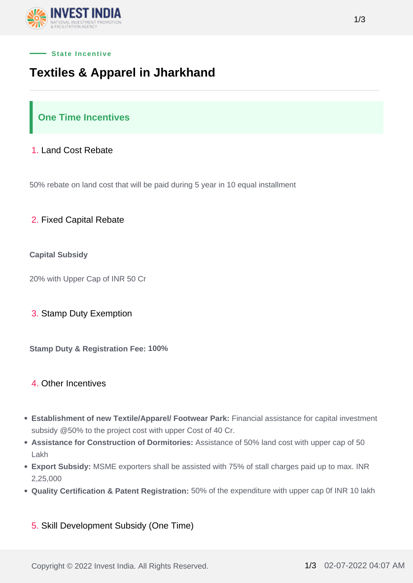



## **Textiles & Apparel in Jharkhand**

## **One Time Incentives**

### 1. Land Cost Rebate

50% rebate on land cost that will be paid during 5 year in 10 equal installment

### 2. Fixed Capital Rebate

### **Capital Subsidy**

20% with Upper Cap of INR 50 Cr

### 3. Stamp Duty Exemption

**Stamp Duty & Registration Fee: 100%**

### 4. Other Incentives

- **Establishment of new Textile/Apparel/ Footwear Park:** Financial assistance for capital investment subsidy @50% to the project cost with upper Cost of 40 Cr.
- **Assistance for Construction of Dormitories:** Assistance of 50% land cost with upper cap of 50 Lakh
- **Export Subsidy:** MSME exporters shall be assisted with 75% of stall charges paid up to max. INR 2,25,000
- **Quality Certification & Patent Registration:** 50% of the expenditure with upper cap 0f INR 10 lakh
	- 5. Skill Development Subsidy (One Time)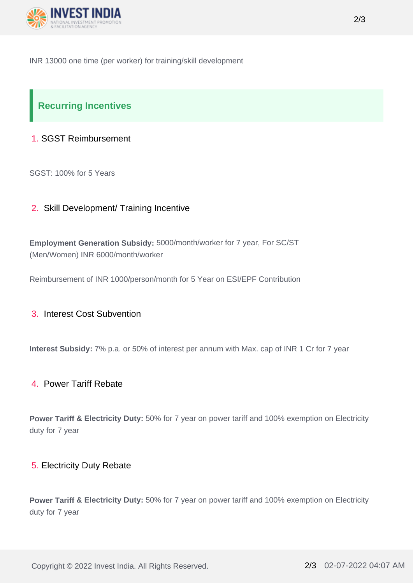

INR 13000 one time (per worker) for training/skill development

# **Recurring Incentives**

## 1. SGST Reimbursement

SGST: 100% for 5 Years

## 2. Skill Development/ Training Incentive

**Employment Generation Subsidy:** 5000/month/worker for 7 year, For SC/ST (Men/Women) INR 6000/month/worker

Reimbursement of INR 1000/person/month for 5 Year on ESI/EPF Contribution

## 3. Interest Cost Subvention

**Interest Subsidy:** 7% p.a. or 50% of interest per annum with Max. cap of INR 1 Cr for 7 year

### 4. Power Tariff Rebate

**Power Tariff & Electricity Duty:** 50% for 7 year on power tariff and 100% exemption on Electricity duty for 7 year

### 5. Electricity Duty Rebate

**Power Tariff & Electricity Duty:** 50% for 7 year on power tariff and 100% exemption on Electricity duty for 7 year